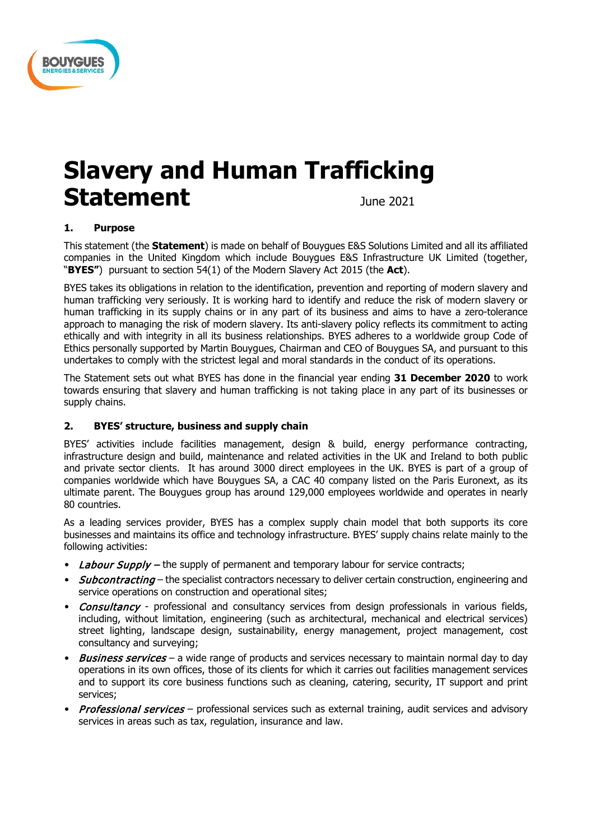

# **Slavery and Human Trafficking**  Statement **Statement**

# **1. Purpose**

This statement (the **Statement**) is made on behalf of Bouygues E&S Solutions Limited and all its affiliated companies in the United Kingdom which include Bouygues E&S Infrastructure UK Limited (together, "**BYES"**) pursuant to section 54(1) of the Modern Slavery Act 2015 (the **Act**).

BYES takes its obligations in relation to the identification, prevention and reporting of modern slavery and human trafficking very seriously. It is working hard to identify and reduce the risk of modern slavery or human trafficking in its supply chains or in any part of its business and aims to have a zero-tolerance approach to managing the risk of modern slavery. Its anti-slavery policy reflects its commitment to acting ethically and with integrity in all its business relationships. BYES adheres to a worldwide group Code of Ethics personally supported by Martin Bouygues, Chairman and CEO of Bouygues SA, and pursuant to this undertakes to comply with the strictest legal and moral standards in the conduct of its operations.

The Statement sets out what BYES has done in the financial year ending **31 December 2020** to work towards ensuring that slavery and human trafficking is not taking place in any part of its businesses or supply chains.

# **2. BYES' structure, business and supply chain**

BYES' activities include facilities management, design & build, energy performance contracting, infrastructure design and build, maintenance and related activities in the UK and Ireland to both public and private sector clients. It has around 3000 direct employees in the UK. BYES is part of a group of companies worldwide which have Bouygues SA, a CAC 40 company listed on the Paris Euronext, as its ultimate parent. The Bouygues group has around 129,000 employees worldwide and operates in nearly 80 countries.

As a leading services provider, BYES has a complex supply chain model that both supports its core businesses and maintains its office and technology infrastructure. BYES' supply chains relate mainly to the following activities:

- Labour Supply the supply of permanent and temporary labour for service contracts;
- Subcontracting the specialist contractors necessary to deliver certain construction, engineering and service operations on construction and operational sites;
- Consultancy professional and consultancy services from design professionals in various fields, including, without limitation, engineering (such as architectural, mechanical and electrical services) street lighting, landscape design, sustainability, energy management, project management, cost consultancy and surveying;
- Business services a wide range of products and services necessary to maintain normal day to day operations in its own offices, those of its clients for which it carries out facilities management services and to support its core business functions such as cleaning, catering, security, IT support and print services;
- Professional services professional services such as external training, audit services and advisory services in areas such as tax, regulation, insurance and law.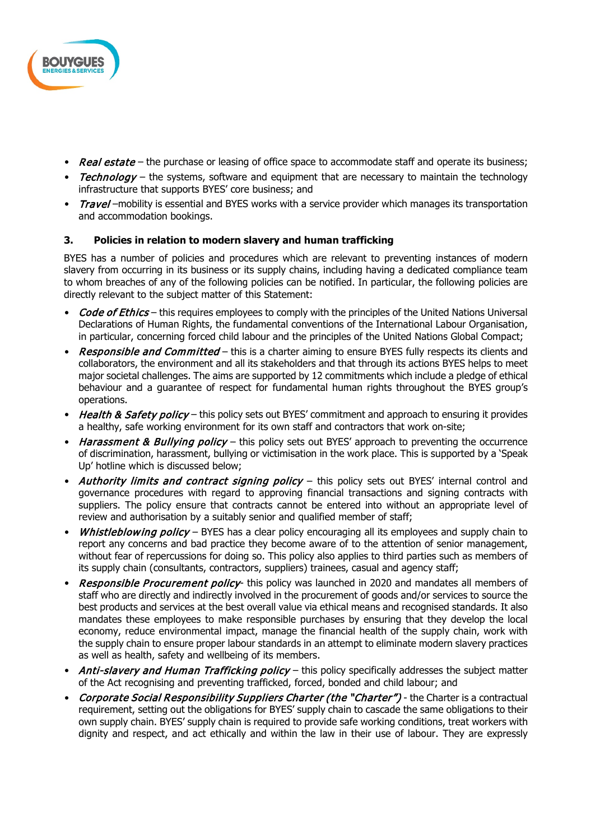

- Real estate the purchase or leasing of office space to accommodate staff and operate its business;
- Technology the systems, software and equipment that are necessary to maintain the technology infrastructure that supports BYES' core business; and
- Travel –mobility is essential and BYES works with a service provider which manages its transportation and accommodation bookings.

## **3. Policies in relation to modern slavery and human trafficking**

BYES has a number of policies and procedures which are relevant to preventing instances of modern slavery from occurring in its business or its supply chains, including having a dedicated compliance team to whom breaches of any of the following policies can be notified. In particular, the following policies are directly relevant to the subject matter of this Statement:

- **Code of Ethics** this requires employees to comply with the principles of the United Nations Universal Declarations of Human Rights, the fundamental conventions of the International Labour Organisation, in particular, concerning forced child labour and the principles of the United Nations Global Compact;
- Responsible and Committed this is a charter aiming to ensure BYES fully respects its clients and collaborators, the environment and all its stakeholders and that through its actions BYES helps to meet major societal challenges. The aims are supported by 12 commitments which include a pledge of ethical behaviour and a guarantee of respect for fundamental human rights throughout the BYES group's operations.
- Health & Safety policy this policy sets out BYES' commitment and approach to ensuring it provides a healthy, safe working environment for its own staff and contractors that work on-site;
- Harassment & Bullying policy this policy sets out BYES' approach to preventing the occurrence of discrimination, harassment, bullying or victimisation in the work place. This is supported by a 'Speak Up' hotline which is discussed below;
- Authority limits and contract signing policy this policy sets out BYES' internal control and governance procedures with regard to approving financial transactions and signing contracts with suppliers. The policy ensure that contracts cannot be entered into without an appropriate level of review and authorisation by a suitably senior and qualified member of staff;
- Whistleblowing policy BYES has a clear policy encouraging all its employees and supply chain to report any concerns and bad practice they become aware of to the attention of senior management, without fear of repercussions for doing so. This policy also applies to third parties such as members of its supply chain (consultants, contractors, suppliers) trainees, casual and agency staff;
- Responsible Procurement policy- this policy was launched in 2020 and mandates all members of staff who are directly and indirectly involved in the procurement of goods and/or services to source the best products and services at the best overall value via ethical means and recognised standards. It also mandates these employees to make responsible purchases by ensuring that they develop the local economy, reduce environmental impact, manage the financial health of the supply chain, work with the supply chain to ensure proper labour standards in an attempt to eliminate modern slavery practices as well as health, safety and wellbeing of its members.
- Anti-slavery and Human Trafficking policy this policy specifically addresses the subject matter of the Act recognising and preventing trafficked, forced, bonded and child labour; and
- Corporate Social Responsibility Suppliers Charter (the "Charter") the Charter is a contractual requirement, setting out the obligations for BYES' supply chain to cascade the same obligations to their own supply chain. BYES' supply chain is required to provide safe working conditions, treat workers with dignity and respect, and act ethically and within the law in their use of labour. They are expressly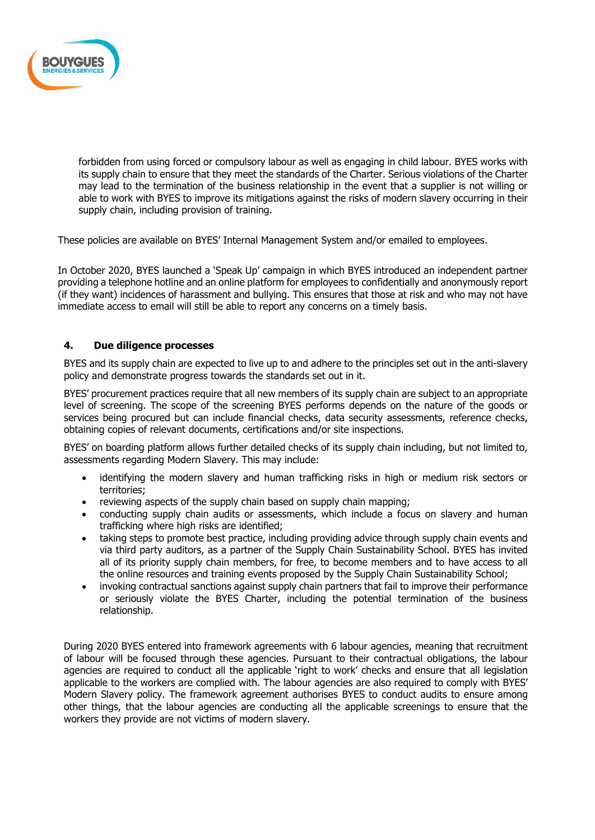

forbidden from using forced or compulsory labour as well as engaging in child labour. BYES works with its supply chain to ensure that they meet the standards of the Charter. Serious violations of the Charter may lead to the termination of the business relationship in the event that a supplier is not willing or able to work with BYES to improve its mitigations against the risks of modern slavery occurring in their supply chain, including provision of training.

These policies are available on BYES' Internal Management System and/or emailed to employees.

In October 2020, BYES launched a 'Speak Up' campaign in which BYES introduced an independent partner providing a telephone hotline and an online platform for employees to confidentially and anonymously report (if they want) incidences of harassment and bullying. This ensures that those at risk and who may not have immediate access to email will still be able to report any concerns on a timely basis.

#### **4. Due diligence processes**

BYES and its supply chain are expected to live up to and adhere to the principles set out in the anti-slavery policy and demonstrate progress towards the standards set out in it.

BYES' procurement practices require that all new members of its supply chain are subject to an appropriate level of screening. The scope of the screening BYES performs depends on the nature of the goods or services being procured but can include financial checks, data security assessments, reference checks, obtaining copies of relevant documents, certifications and/or site inspections.

BYES' on boarding platform allows further detailed checks of its supply chain including, but not limited to, assessments regarding Modern Slavery. This may include:

- identifying the modern slavery and human trafficking risks in high or medium risk sectors or territories;
- reviewing aspects of the supply chain based on supply chain mapping;
- conducting supply chain audits or assessments, which include a focus on slavery and human trafficking where high risks are identified;
- taking steps to promote best practice, including providing advice through supply chain events and via third party auditors, as a partner of the Supply Chain Sustainability School. BYES has invited all of its priority supply chain members, for free, to become members and to have access to all the online resources and training events proposed by the Supply Chain Sustainability School;
- invoking contractual sanctions against supply chain partners that fail to improve their performance or seriously violate the BYES Charter, including the potential termination of the business relationship.

During 2020 BYES entered into framework agreements with 6 labour agencies, meaning that recruitment of labour will be focused through these agencies. Pursuant to their contractual obligations, the labour agencies are required to conduct all the applicable 'right to work' checks and ensure that all legislation applicable to the workers are complied with. The labour agencies are also required to comply with BYES' Modern Slavery policy. The framework agreement authorises BYES to conduct audits to ensure among other things, that the labour agencies are conducting all the applicable screenings to ensure that the workers they provide are not victims of modern slavery.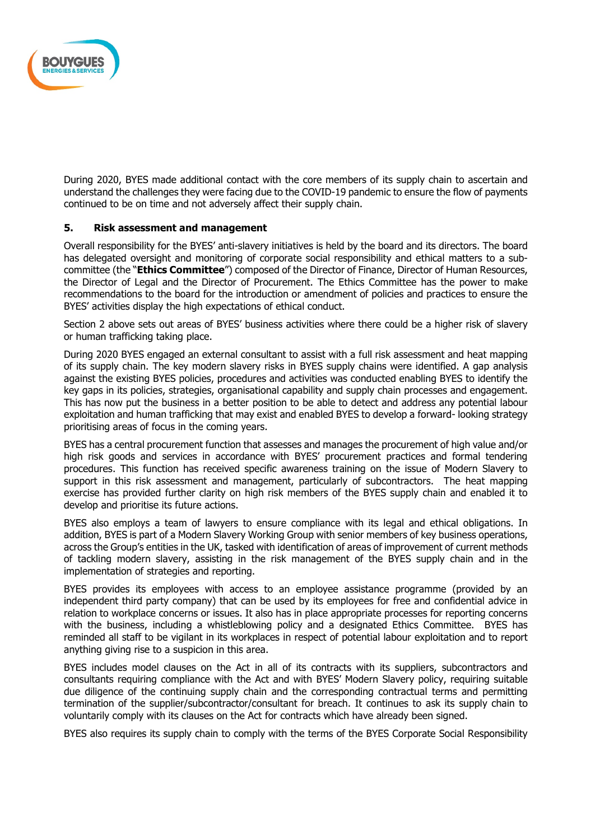

During 2020, BYES made additional contact with the core members of its supply chain to ascertain and understand the challenges they were facing due to the COVID-19 pandemic to ensure the flow of payments continued to be on time and not adversely affect their supply chain.

#### **5. Risk assessment and management**

Overall responsibility for the BYES' anti-slavery initiatives is held by the board and its directors. The board has delegated oversight and monitoring of corporate social responsibility and ethical matters to a subcommittee (the "**Ethics Committee**") composed of the Director of Finance, Director of Human Resources, the Director of Legal and the Director of Procurement. The Ethics Committee has the power to make recommendations to the board for the introduction or amendment of policies and practices to ensure the BYES' activities display the high expectations of ethical conduct.

Section 2 above sets out areas of BYES' business activities where there could be a higher risk of slavery or human trafficking taking place.

During 2020 BYES engaged an external consultant to assist with a full risk assessment and heat mapping of its supply chain. The key modern slavery risks in BYES supply chains were identified. A gap analysis against the existing BYES policies, procedures and activities was conducted enabling BYES to identify the key gaps in its policies, strategies, organisational capability and supply chain processes and engagement. This has now put the business in a better position to be able to detect and address any potential labour exploitation and human trafficking that may exist and enabled BYES to develop a forward- looking strategy prioritising areas of focus in the coming years.

BYES has a central procurement function that assesses and manages the procurement of high value and/or high risk goods and services in accordance with BYES' procurement practices and formal tendering procedures. This function has received specific awareness training on the issue of Modern Slavery to support in this risk assessment and management, particularly of subcontractors. The heat mapping exercise has provided further clarity on high risk members of the BYES supply chain and enabled it to develop and prioritise its future actions.

BYES also employs a team of lawyers to ensure compliance with its legal and ethical obligations. In addition, BYES is part of a Modern Slavery Working Group with senior members of key business operations, across the Group's entities in the UK, tasked with identification of areas of improvement of current methods of tackling modern slavery, assisting in the risk management of the BYES supply chain and in the implementation of strategies and reporting.

BYES provides its employees with access to an employee assistance programme (provided by an independent third party company) that can be used by its employees for free and confidential advice in relation to workplace concerns or issues. It also has in place appropriate processes for reporting concerns with the business, including a whistleblowing policy and a designated Ethics Committee. BYES has reminded all staff to be vigilant in its workplaces in respect of potential labour exploitation and to report anything giving rise to a suspicion in this area.

BYES includes model clauses on the Act in all of its contracts with its suppliers, subcontractors and consultants requiring compliance with the Act and with BYES' Modern Slavery policy, requiring suitable due diligence of the continuing supply chain and the corresponding contractual terms and permitting termination of the supplier/subcontractor/consultant for breach. It continues to ask its supply chain to voluntarily comply with its clauses on the Act for contracts which have already been signed.

BYES also requires its supply chain to comply with the terms of the BYES Corporate Social Responsibility